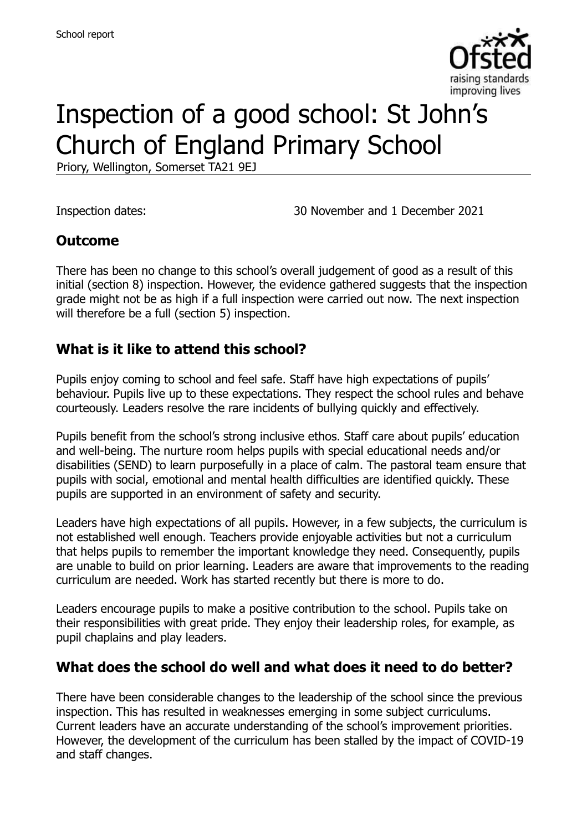

# Inspection of a good school: St John's Church of England Primary School

Priory, Wellington, Somerset TA21 9EJ

Inspection dates: 30 November and 1 December 2021

### **Outcome**

There has been no change to this school's overall judgement of good as a result of this initial (section 8) inspection. However, the evidence gathered suggests that the inspection grade might not be as high if a full inspection were carried out now. The next inspection will therefore be a full (section 5) inspection.

### **What is it like to attend this school?**

Pupils enjoy coming to school and feel safe. Staff have high expectations of pupils' behaviour. Pupils live up to these expectations. They respect the school rules and behave courteously. Leaders resolve the rare incidents of bullying quickly and effectively.

Pupils benefit from the school's strong inclusive ethos. Staff care about pupils' education and well-being. The nurture room helps pupils with special educational needs and/or disabilities (SEND) to learn purposefully in a place of calm. The pastoral team ensure that pupils with social, emotional and mental health difficulties are identified quickly. These pupils are supported in an environment of safety and security.

Leaders have high expectations of all pupils. However, in a few subjects, the curriculum is not established well enough. Teachers provide enjoyable activities but not a curriculum that helps pupils to remember the important knowledge they need. Consequently, pupils are unable to build on prior learning. Leaders are aware that improvements to the reading curriculum are needed. Work has started recently but there is more to do.

Leaders encourage pupils to make a positive contribution to the school. Pupils take on their responsibilities with great pride. They enjoy their leadership roles, for example, as pupil chaplains and play leaders.

### **What does the school do well and what does it need to do better?**

There have been considerable changes to the leadership of the school since the previous inspection. This has resulted in weaknesses emerging in some subject curriculums. Current leaders have an accurate understanding of the school's improvement priorities. However, the development of the curriculum has been stalled by the impact of COVID-19 and staff changes.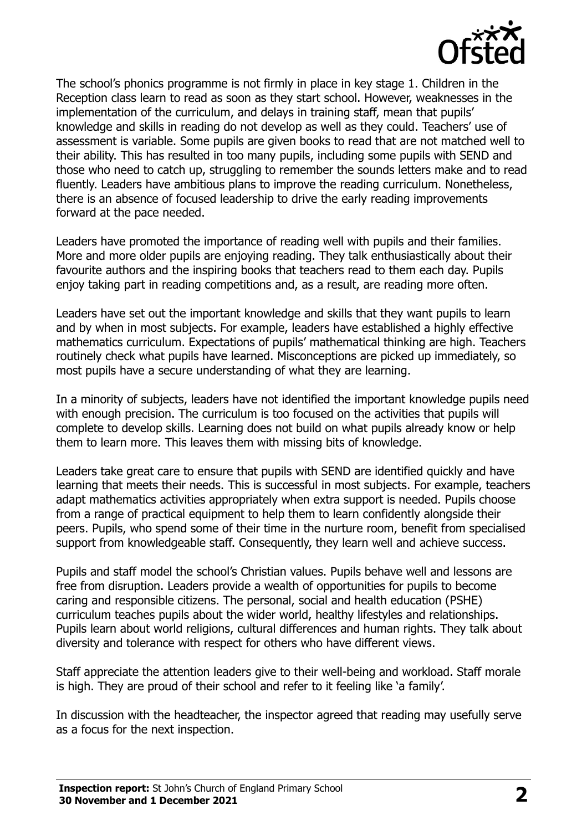

The school's phonics programme is not firmly in place in key stage 1. Children in the Reception class learn to read as soon as they start school. However, weaknesses in the implementation of the curriculum, and delays in training staff, mean that pupils' knowledge and skills in reading do not develop as well as they could. Teachers' use of assessment is variable. Some pupils are given books to read that are not matched well to their ability. This has resulted in too many pupils, including some pupils with SEND and those who need to catch up, struggling to remember the sounds letters make and to read fluently. Leaders have ambitious plans to improve the reading curriculum. Nonetheless, there is an absence of focused leadership to drive the early reading improvements forward at the pace needed.

Leaders have promoted the importance of reading well with pupils and their families. More and more older pupils are enjoying reading. They talk enthusiastically about their favourite authors and the inspiring books that teachers read to them each day. Pupils enjoy taking part in reading competitions and, as a result, are reading more often.

Leaders have set out the important knowledge and skills that they want pupils to learn and by when in most subjects. For example, leaders have established a highly effective mathematics curriculum. Expectations of pupils' mathematical thinking are high. Teachers routinely check what pupils have learned. Misconceptions are picked up immediately, so most pupils have a secure understanding of what they are learning.

In a minority of subjects, leaders have not identified the important knowledge pupils need with enough precision. The curriculum is too focused on the activities that pupils will complete to develop skills. Learning does not build on what pupils already know or help them to learn more. This leaves them with missing bits of knowledge.

Leaders take great care to ensure that pupils with SEND are identified quickly and have learning that meets their needs. This is successful in most subjects. For example, teachers adapt mathematics activities appropriately when extra support is needed. Pupils choose from a range of practical equipment to help them to learn confidently alongside their peers. Pupils, who spend some of their time in the nurture room, benefit from specialised support from knowledgeable staff. Consequently, they learn well and achieve success.

Pupils and staff model the school's Christian values. Pupils behave well and lessons are free from disruption. Leaders provide a wealth of opportunities for pupils to become caring and responsible citizens. The personal, social and health education (PSHE) curriculum teaches pupils about the wider world, healthy lifestyles and relationships. Pupils learn about world religions, cultural differences and human rights. They talk about diversity and tolerance with respect for others who have different views.

Staff appreciate the attention leaders give to their well-being and workload. Staff morale is high. They are proud of their school and refer to it feeling like 'a family'.

In discussion with the headteacher, the inspector agreed that reading may usefully serve as a focus for the next inspection.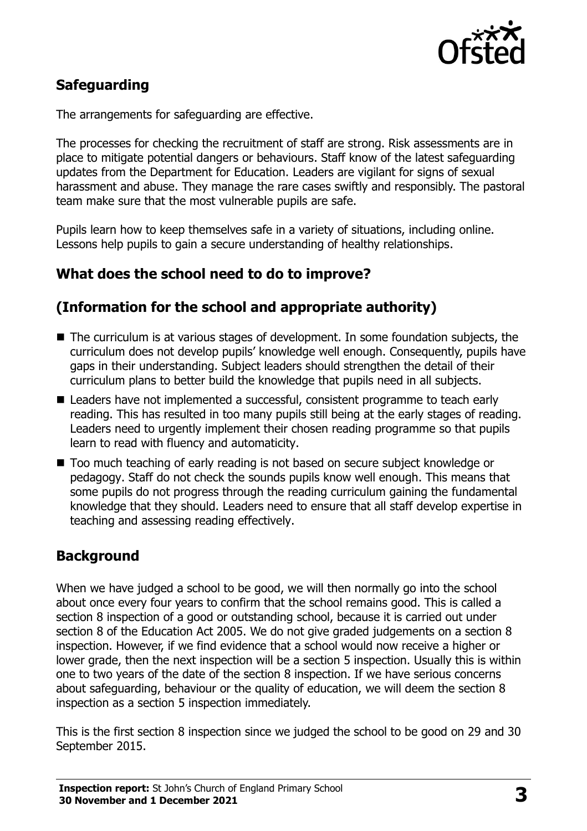

# **Safeguarding**

The arrangements for safeguarding are effective.

The processes for checking the recruitment of staff are strong. Risk assessments are in place to mitigate potential dangers or behaviours. Staff know of the latest safeguarding updates from the Department for Education. Leaders are vigilant for signs of sexual harassment and abuse. They manage the rare cases swiftly and responsibly. The pastoral team make sure that the most vulnerable pupils are safe.

Pupils learn how to keep themselves safe in a variety of situations, including online. Lessons help pupils to gain a secure understanding of healthy relationships.

# **What does the school need to do to improve?**

# **(Information for the school and appropriate authority)**

- The curriculum is at various stages of development. In some foundation subiects, the curriculum does not develop pupils' knowledge well enough. Consequently, pupils have gaps in their understanding. Subject leaders should strengthen the detail of their curriculum plans to better build the knowledge that pupils need in all subjects.
- Leaders have not implemented a successful, consistent programme to teach early reading. This has resulted in too many pupils still being at the early stages of reading. Leaders need to urgently implement their chosen reading programme so that pupils learn to read with fluency and automaticity.
- Too much teaching of early reading is not based on secure subiect knowledge or pedagogy. Staff do not check the sounds pupils know well enough. This means that some pupils do not progress through the reading curriculum gaining the fundamental knowledge that they should. Leaders need to ensure that all staff develop expertise in teaching and assessing reading effectively.

# **Background**

When we have judged a school to be good, we will then normally go into the school about once every four years to confirm that the school remains good. This is called a section 8 inspection of a good or outstanding school, because it is carried out under section 8 of the Education Act 2005. We do not give graded judgements on a section 8 inspection. However, if we find evidence that a school would now receive a higher or lower grade, then the next inspection will be a section 5 inspection. Usually this is within one to two years of the date of the section 8 inspection. If we have serious concerns about safeguarding, behaviour or the quality of education, we will deem the section 8 inspection as a section 5 inspection immediately.

This is the first section 8 inspection since we judged the school to be good on 29 and 30 September 2015.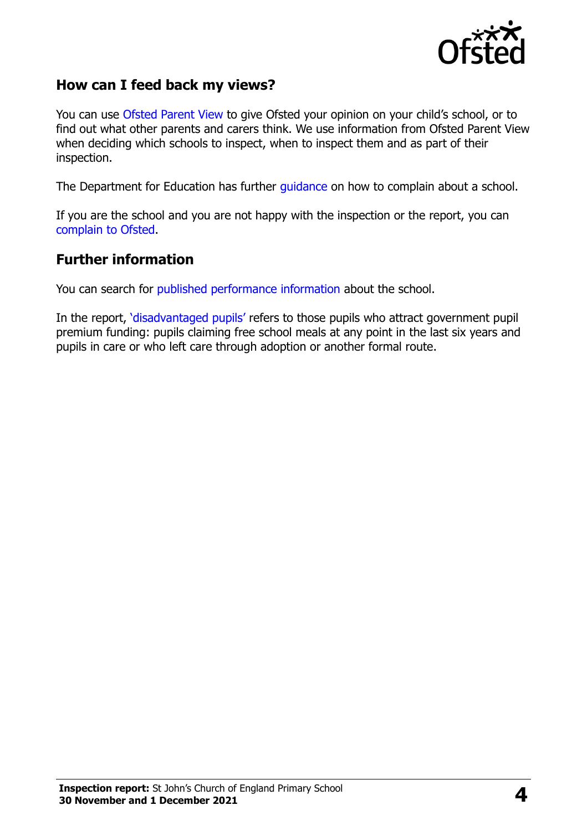

### **How can I feed back my views?**

You can use [Ofsted Parent View](https://parentview.ofsted.gov.uk/) to give Ofsted your opinion on your child's school, or to find out what other parents and carers think. We use information from Ofsted Parent View when deciding which schools to inspect, when to inspect them and as part of their inspection.

The Department for Education has further [guidance](http://www.gov.uk/complain-about-school) on how to complain about a school.

If you are the school and you are not happy with the inspection or the report, you can [complain to Ofsted.](https://www.gov.uk/complain-ofsted-report)

#### **Further information**

You can search for [published performance information](http://www.compare-school-performance.service.gov.uk/) about the school.

In the report, '[disadvantaged pupils](http://www.gov.uk/guidance/pupil-premium-information-for-schools-and-alternative-provision-settings)' refers to those pupils who attract government pupil premium funding: pupils claiming free school meals at any point in the last six years and pupils in care or who left care through adoption or another formal route.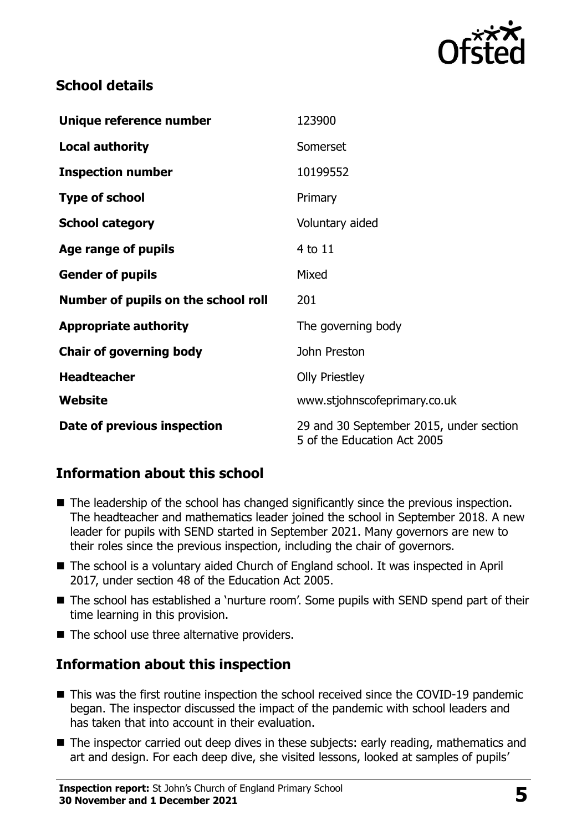

# **School details**

| Unique reference number             | 123900                                                                 |
|-------------------------------------|------------------------------------------------------------------------|
| <b>Local authority</b>              | Somerset                                                               |
| <b>Inspection number</b>            | 10199552                                                               |
| <b>Type of school</b>               | Primary                                                                |
| <b>School category</b>              | Voluntary aided                                                        |
| Age range of pupils                 | 4 to 11                                                                |
| <b>Gender of pupils</b>             | Mixed                                                                  |
| Number of pupils on the school roll | 201                                                                    |
| <b>Appropriate authority</b>        | The governing body                                                     |
| <b>Chair of governing body</b>      | John Preston                                                           |
| <b>Headteacher</b>                  | <b>Olly Priestley</b>                                                  |
| Website                             | www.stjohnscofeprimary.co.uk                                           |
| Date of previous inspection         | 29 and 30 September 2015, under section<br>5 of the Education Act 2005 |

# **Information about this school**

- The leadership of the school has changed significantly since the previous inspection. The headteacher and mathematics leader joined the school in September 2018. A new leader for pupils with SEND started in September 2021. Many governors are new to their roles since the previous inspection, including the chair of governors.
- The school is a voluntary aided Church of England school. It was inspected in April 2017, under section 48 of the Education Act 2005.
- The school has established a `nurture room'. Some pupils with SEND spend part of their time learning in this provision.
- $\blacksquare$  The school use three alternative providers.

### **Information about this inspection**

- This was the first routine inspection the school received since the COVID-19 pandemic began. The inspector discussed the impact of the pandemic with school leaders and has taken that into account in their evaluation.
- The inspector carried out deep dives in these subjects: early reading, mathematics and art and design. For each deep dive, she visited lessons, looked at samples of pupils'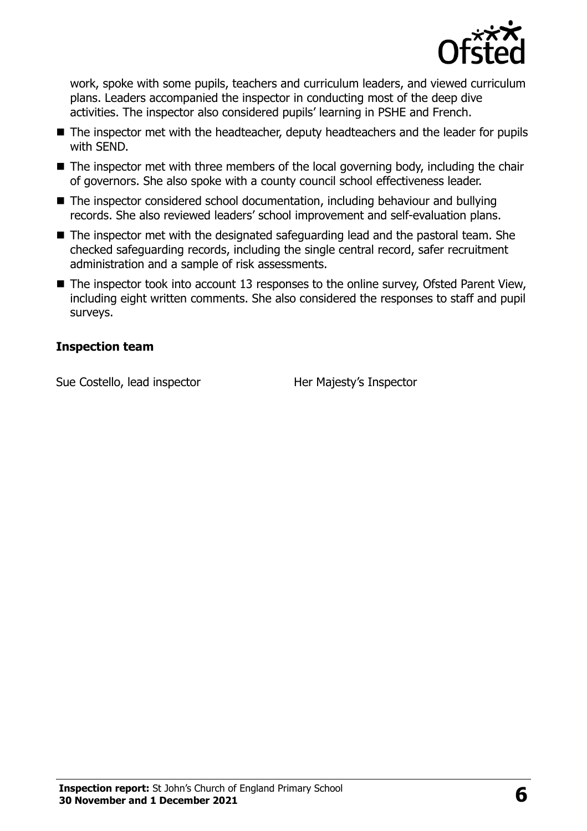

work, spoke with some pupils, teachers and curriculum leaders, and viewed curriculum plans. Leaders accompanied the inspector in conducting most of the deep dive activities. The inspector also considered pupils' learning in PSHE and French.

- The inspector met with the headteacher, deputy headteachers and the leader for pupils with SEND.
- The inspector met with three members of the local governing body, including the chair of governors. She also spoke with a county council school effectiveness leader.
- The inspector considered school documentation, including behaviour and bullying records. She also reviewed leaders' school improvement and self-evaluation plans.
- The inspector met with the designated safeguarding lead and the pastoral team. She checked safeguarding records, including the single central record, safer recruitment administration and a sample of risk assessments.
- The inspector took into account 13 responses to the online survey, Ofsted Parent View, including eight written comments. She also considered the responses to staff and pupil surveys.

#### **Inspection team**

Sue Costello, lead inspector **Her Majesty's Inspector**